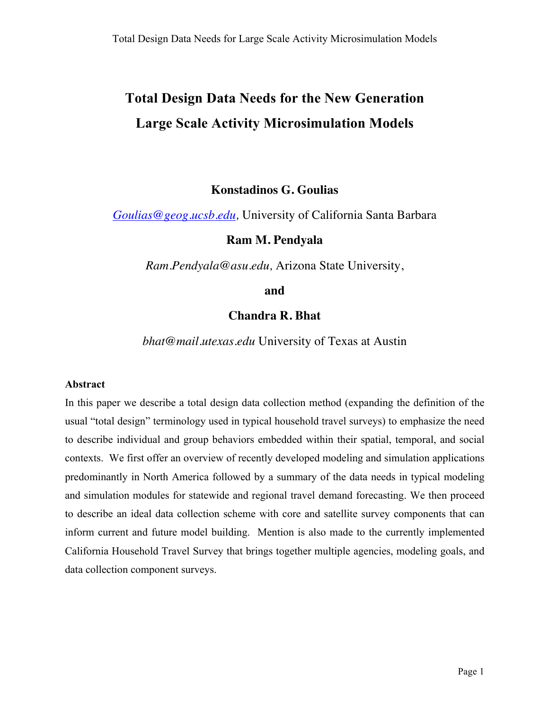# **Total Design Data Needs for the New Generation Large Scale Activity Microsimulation Models**

# **Konstadinos G. Goulias**

*Goulias@geog.ucsb.edu,* University of California Santa Barbara

# **Ram M. Pendyala**

*Ram.Pendyala@asu.edu,* Arizona State University,

# **and**

# **Chandra R. Bhat**

*bhat@mail.utexas.edu* University of Texas at Austin

# **Abstract**

In this paper we describe a total design data collection method (expanding the definition of the usual "total design" terminology used in typical household travel surveys) to emphasize the need to describe individual and group behaviors embedded within their spatial, temporal, and social contexts. We first offer an overview of recently developed modeling and simulation applications predominantly in North America followed by a summary of the data needs in typical modeling and simulation modules for statewide and regional travel demand forecasting. We then proceed to describe an ideal data collection scheme with core and satellite survey components that can inform current and future model building. Mention is also made to the currently implemented California Household Travel Survey that brings together multiple agencies, modeling goals, and data collection component surveys.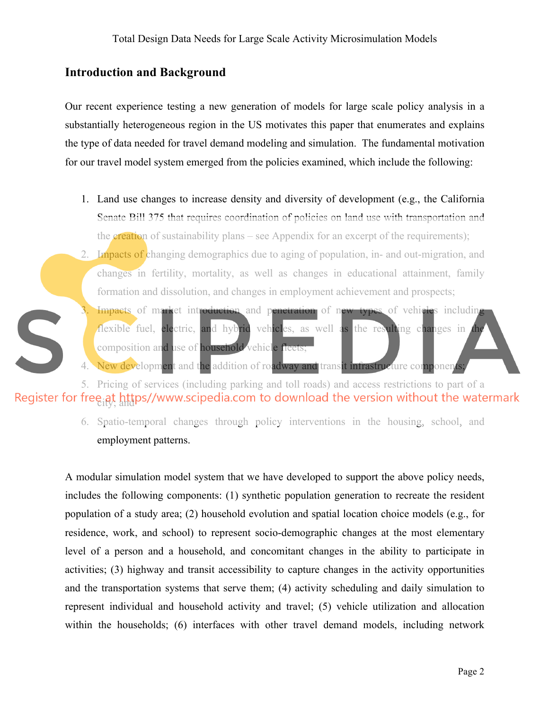# **Introduction and Background**

Our recent experience testing a new generation of models for large scale policy analysis in a substantially heterogeneous region in the US motivates this paper that enumerates and explains the type of data needed for travel demand modeling and simulation. The fundamental motivation for our travel model system emerged from the policies examined, which include the following:

- 1. Land use changes to increase density and diversity of development (e.g., the California Senate Bill 375 that requires coordination of policies on land use with transportation and the **creatio**n of sustainability plans – see Appendix for an excerpt of the requirements);
- 2. Impacts of changing demographics due to aging of population, in- and out-migration, and changes in fertility, mortality, as well as changes in educational attainment, family formation and dissolution, and changes in employment achievement and prospects;
	- Impacts of market introduction and penetration of new types of vehicles including flexible fuel, electric, and hybrid vehicles, as well as the resulting changes in composition and use of household vehicle fleets;
- 4. New development and the addition of roadway and transit infrastructure components;

5. Pricing of services (including parking and toll roads) and access restrictions to part of a Register for free at https//www.scipedia.com to download the version without the watermark

> 6. Spatio-temporal changes through policy interventions in the housing, school, and employment patterns.

A modular simulation model system that we have developed to support the above policy needs, includes the following components: (1) synthetic population generation to recreate the resident population of a study area; (2) household evolution and spatial location choice models (e.g., for residence, work, and school) to represent socio-demographic changes at the most elementary level of a person and a household, and concomitant changes in the ability to participate in activities; (3) highway and transit accessibility to capture changes in the activity opportunities and the transportation systems that serve them; (4) activity scheduling and daily simulation to represent individual and household activity and travel; (5) vehicle utilization and allocation within the households; (6) interfaces with other travel demand models, including network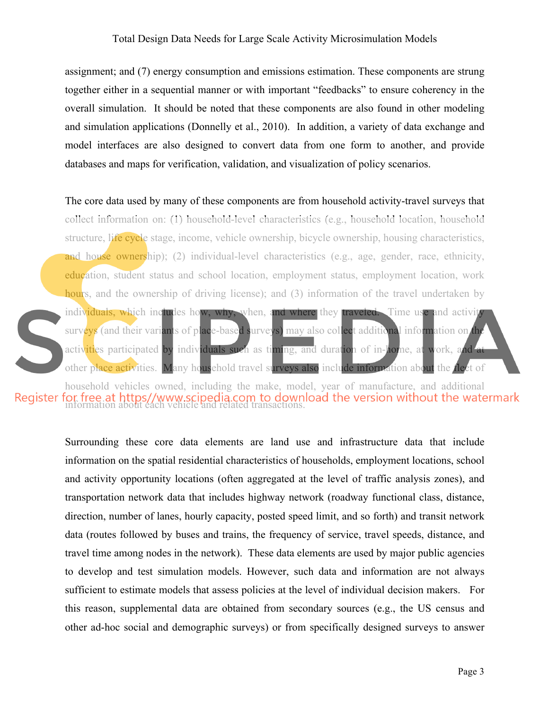assignment; and (7) energy consumption and emissions estimation. These components are strung together either in a sequential manner or with important "feedbacks" to ensure coherency in the overall simulation. It should be noted that these components are also found in other modeling and simulation applications (Donnelly et al., 2010). In addition, a variety of data exchange and model interfaces are also designed to convert data from one form to another, and provide databases and maps for verification, validation, and visualization of policy scenarios.

The core data used by many of these components are from household activity-travel surveys that collect information on: (1) household-level characteristics (e.g., household location, household structure, life cycle stage, income, vehicle ownership, bicycle ownership, housing characteristics, and house ownership); (2) individual-level characteristics (e.g., age, gender, race, ethnicity, education, student status and school location, employment status, employment location, work hours, and the ownership of driving license); and (3) information of the travel undertaken by individuals, which includes how, why, when, and where they traveled. Time use and activity surveys (and their variants of place-based surveys) may also collect additional information on the activities participated by individuals such as timing, and duration of in-home, at work, and a other place activities. Many household travel surveys also include information about the fleet of

household vehicles owned, including the make, model, year of manufacture, and additional Register for free at https//www.scipedia.com to download the version without the watermark

Surrounding these core data elements are land use and infrastructure data that include information on the spatial residential characteristics of households, employment locations, school and activity opportunity locations (often aggregated at the level of traffic analysis zones), and transportation network data that includes highway network (roadway functional class, distance, direction, number of lanes, hourly capacity, posted speed limit, and so forth) and transit network data (routes followed by buses and trains, the frequency of service, travel speeds, distance, and travel time among nodes in the network). These data elements are used by major public agencies to develop and test simulation models. However, such data and information are not always sufficient to estimate models that assess policies at the level of individual decision makers. For this reason, supplemental data are obtained from secondary sources (e.g., the US census and other ad-hoc social and demographic surveys) or from specifically designed surveys to answer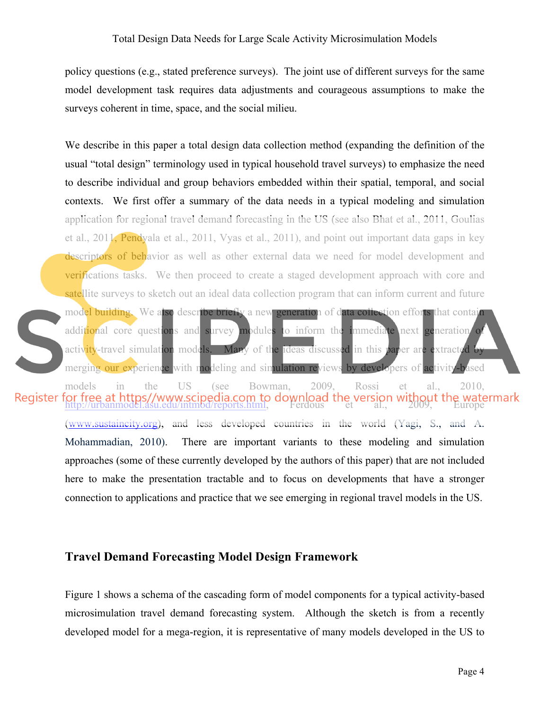policy questions (e.g., stated preference surveys). The joint use of different surveys for the same model development task requires data adjustments and courageous assumptions to make the surveys coherent in time, space, and the social milieu.

We describe in this paper a total design data collection method (expanding the definition of the usual "total design" terminology used in typical household travel surveys) to emphasize the need to describe individual and group behaviors embedded within their spatial, temporal, and social contexts. We first offer a summary of the data needs in a typical modeling and simulation application for regional travel demand forecasting in the US (see also Bhat et al., 2011, Goulias et al., 2011, Pendyala et al., 2011, Vyas et al., 2011), and point out important data gaps in key descriptors of behavior as well as other external data we need for model development and verifications tasks. We then proceed to create a staged development approach with core and satellite surveys to sketch out an ideal data collection program that can inform current and future model building. We also describe briefly a new generation of data collection efforts that contain additional core questions and survey modules to inform the immediate next generation activity-travel simulation models. Many of the ideas discussed in this paper are extracted by merging our experience with modeling and simulation reviews by developers of activity-based models in the US (see Bowman, 2009, Rossi et al., 2010, http://urbanmodel.asu.edu/intmod/reports.html, Ferdous et al., 2009, Europe (www.sustaincity.org), and less developed countries in the world (Yagi, S., and A. Mohammadian, 2010). There are important variants to these modeling and simulation approaches (some of these currently developed by the authors of this paper) that are not included here to make the presentation tractable and to focus on developments that have a stronger connection to applications and practice that we see emerging in regional travel models in the US.

# **Travel Demand Forecasting Model Design Framework**

Figure 1 shows a schema of the cascading form of model components for a typical activity-based microsimulation travel demand forecasting system. Although the sketch is from a recently developed model for a mega-region, it is representative of many models developed in the US to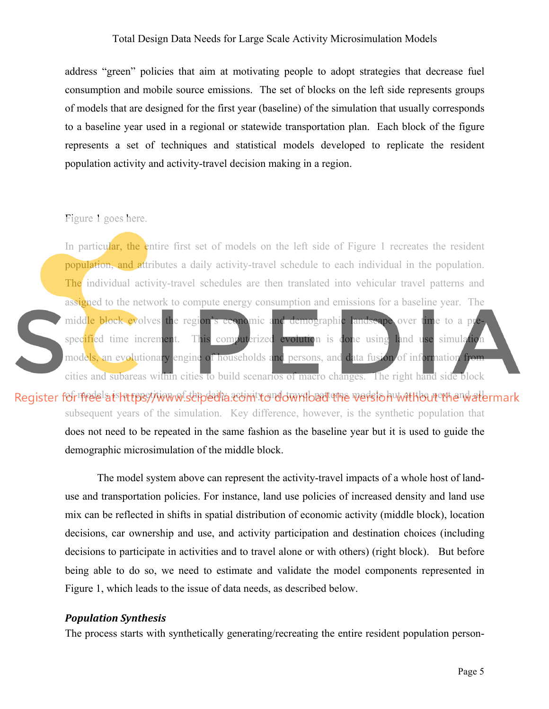address "green" policies that aim at motivating people to adopt strategies that decrease fuel consumption and mobile source emissions. The set of blocks on the left side represents groups of models that are designed for the first year (baseline) of the simulation that usually corresponds to a baseline year used in a regional or statewide transportation plan. Each block of the figure represents a set of techniques and statistical models developed to replicate the resident population activity and activity-travel decision making in a region.

### Figure 1 goes here.

In particular, the entire first set of models on the left side of Figure 1 recreates the resident population, and attributes a daily activity-travel schedule to each individual in the population. The individual activity-travel schedules are then translated into vehicular travel patterns and assigned to the network to compute energy consumption and emissions for a baseline year. The middle block evolves the region's economic and demographic landscape over time to a prespecified time increment. This computerized evolution is done using land use simulation models, an evolutionary engine of households and persons, and data fusion of information from cities and subareas within cities to build scenarios of macro changes. The right hand side block

Register fof free at https://www.sepedia.comtrordownbadtene werels huwithbut the nwatermark subsequent years of the simulation. Key difference, however, is the synthetic population that does not need to be repeated in the same fashion as the baseline year but it is used to guide the demographic microsimulation of the middle block.

The model system above can represent the activity-travel impacts of a whole host of landuse and transportation policies. For instance, land use policies of increased density and land use mix can be reflected in shifts in spatial distribution of economic activity (middle block), location decisions, car ownership and use, and activity participation and destination choices (including decisions to participate in activities and to travel alone or with others) (right block). But before being able to do so, we need to estimate and validate the model components represented in Figure 1, which leads to the issue of data needs, as described below.

# *Population Synthesis*

The process starts with synthetically generating/recreating the entire resident population person-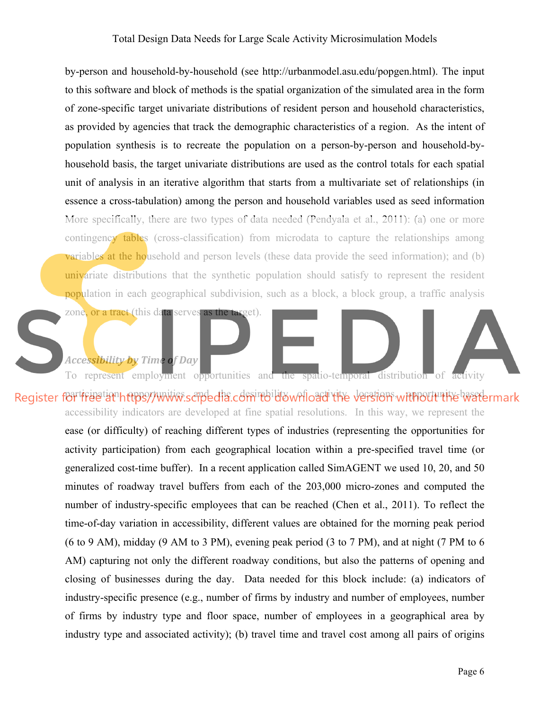by-person and household-by-household (see http://urbanmodel.asu.edu/popgen.html). The input to this software and block of methods is the spatial organization of the simulated area in the form of zone-specific target univariate distributions of resident person and household characteristics, as provided by agencies that track the demographic characteristics of a region. As the intent of population synthesis is to recreate the population on a person-by-person and household-byhousehold basis, the target univariate distributions are used as the control totals for each spatial unit of analysis in an iterative algorithm that starts from a multivariate set of relationships (in essence a cross-tabulation) among the person and household variables used as seed information More specifically, there are two types of data needed (Pendyala et al., 2011): (a) one or more contingency tables (cross-classification) from microdata to capture the relationships among **variables at the household and person levels (these data provide the seed information); and (b)** univariate distributions that the synthetic population should satisfy to represent the resident population in each geographical subdivision, such as a block, a block group, a traffic analysis

zone, or a tract (this data serves as the target).



Register for free tan https://www.scipedia.comitedibiownload the version without the watermark accessibility indicators are developed at fine spatial resolutions. In this way, we represent the

ease (or difficulty) of reaching different types of industries (representing the opportunities for activity participation) from each geographical location within a pre-specified travel time (or generalized cost-time buffer). In a recent application called SimAGENT we used 10, 20, and 50 minutes of roadway travel buffers from each of the 203,000 micro-zones and computed the number of industry-specific employees that can be reached (Chen et al., 2011). To reflect the time-of-day variation in accessibility, different values are obtained for the morning peak period (6 to 9 AM), midday (9 AM to 3 PM), evening peak period (3 to 7 PM), and at night (7 PM to 6 AM) capturing not only the different roadway conditions, but also the patterns of opening and closing of businesses during the day. Data needed for this block include: (a) indicators of industry-specific presence (e.g., number of firms by industry and number of employees, number of firms by industry type and floor space, number of employees in a geographical area by industry type and associated activity); (b) travel time and travel cost among all pairs of origins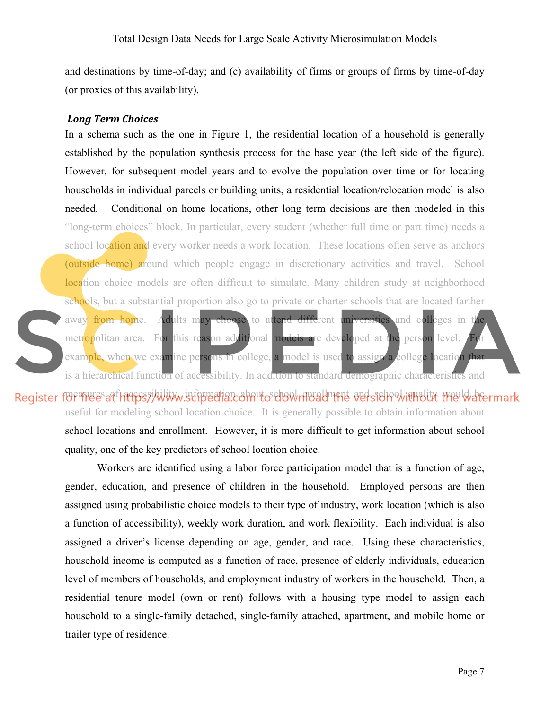and destinations by time-of-day; and (c) availability of firms or groups of firms by time-of-day (or proxies of this availability).

# Long Term Choices

In a schema such as the one in Figure 1, the residential location of a household is generally established by the population synthesis process for the base year (the left side of the figure). However, for subsequent model years and to evolve the population over time or for locating households in individual parcels or building units, a residential location/relocation model is also needed. Conditional on home locations, other long term decisions are then modeled in this "long-term choices" block. In particular, every student (whether full time or part time) needs a school location and every worker needs a work location. These locations often serve as anchors (outside home) around which people engage in discretionary activities and travel. School location choice models are often difficult to simulate. Many children study at neighborhood schools, but a substantial proportion also go to private or charter schools that are located farther away from home. Adults may choose to attend different universities and colleges in the metropolitan area. For this reason additional models are developed at the person level. For example, when we examine persons in college, a model is used to assign a college location that is a hierarchical function of accessibility. In addition to standard demographic characteristics and

Register for these at https://www.ythpedia.com/toschownload the version without the watermark useful for modeling school location choice. It is generally possible to obtain information about school locations and enrollment. However, it is more difficult to get information about school quality, one of the key predictors of school location choice.

Workers are identified using a labor force participation model that is a function of age, gender, education, and presence of children in the household. Employed persons are then assigned using probabilistic choice models to their type of industry, work location (which is also a function of accessibility), weekly work duration, and work flexibility. Each individual is also assigned a driver's license depending on age, gender, and race. Using these characteristics, household income is computed as a function of race, presence of elderly individuals, education level of members of households, and employment industry of workers in the household. Then, a residential tenure model (own or rent) follows with a housing type model to assign each household to a single-family detached, single-family attached, apartment, and mobile home or trailer type of residence.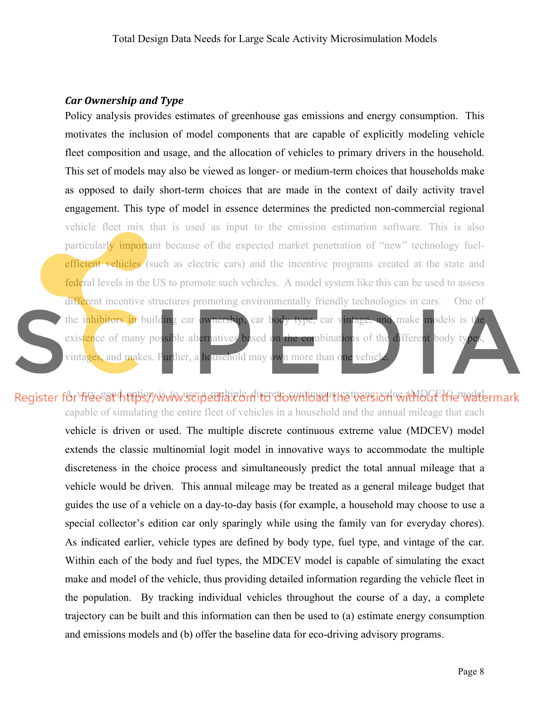# *Car Ownership and Type*

Policy analysis provides estimates of greenhouse gas emissions and energy consumption. This motivates the inclusion of model components that are capable of explicitly modeling vehicle fleet composition and usage, and the allocation of vehicles to primary drivers in the household. This set of models may also be viewed as longer- or medium-term choices that households make as opposed to daily short-term choices that are made in the context of daily activity travel engagement. This type of model in essence determines the predicted non-commercial regional vehicle fleet mix that is used as input to the emission estimation software. This is also particularly important because of the expected market penetration of "new" technology fuelefficient vehicles (such as electric cars) and the incentive programs created at the state and federal levels in the US to promote such vehicles. A model system like this can be used to assess different incentive structures promoting environmentally friendly technologies in cars. One of the inhibitors in building car ownership, car body type, car vintage, and make models is the existence of many possible alternatives based on the combinations of the different body ty vintages, and makes. Further, a household may own more than one vehic

# Register for free a chttps://www.scipedia.comiscuto.whibadi the trension with DGE the watermark capable of simulating the entire fleet of vehicles in a household and the annual mileage that each

vehicle is driven or used. The multiple discrete continuous extreme value (MDCEV) model extends the classic multinomial logit model in innovative ways to accommodate the multiple discreteness in the choice process and simultaneously predict the total annual mileage that a vehicle would be driven. This annual mileage may be treated as a general mileage budget that guides the use of a vehicle on a day-to-day basis (for example, a household may choose to use a special collector's edition car only sparingly while using the family van for everyday chores). As indicated earlier, vehicle types are defined by body type, fuel type, and vintage of the car. Within each of the body and fuel types, the MDCEV model is capable of simulating the exact make and model of the vehicle, thus providing detailed information regarding the vehicle fleet in the population. By tracking individual vehicles throughout the course of a day, a complete trajectory can be built and this information can then be used to (a) estimate energy consumption and emissions models and (b) offer the baseline data for eco-driving advisory programs.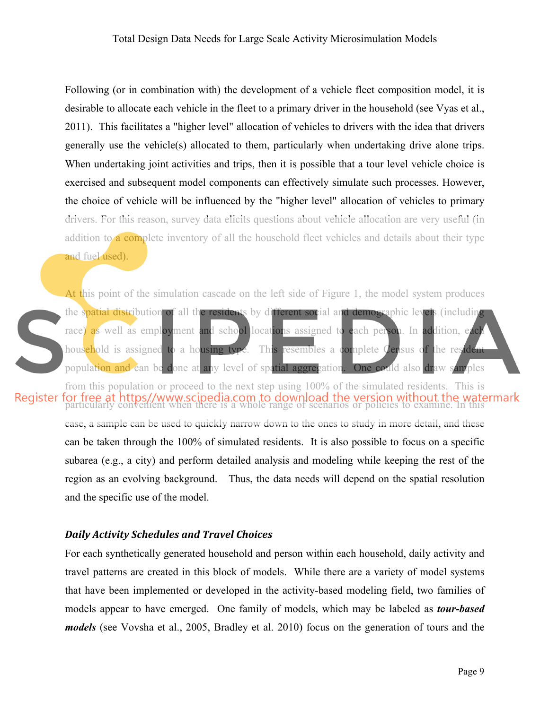Following (or in combination with) the development of a vehicle fleet composition model, it is desirable to allocate each vehicle in the fleet to a primary driver in the household (see Vyas et al., 2011). This facilitates a "higher level" allocation of vehicles to drivers with the idea that drivers generally use the vehicle(s) allocated to them, particularly when undertaking drive alone trips. When undertaking joint activities and trips, then it is possible that a tour level vehicle choice is exercised and subsequent model components can effectively simulate such processes. However, the choice of vehicle will be influenced by the "higher level" allocation of vehicles to primary drivers. For this reason, survey data elicits questions about vehicle allocation are very useful (in addition to a complete inventory of all the household fleet vehicles and details about their type and fuel used).



from this population or proceed to the next step using 100% of the simulated residents. This is Register for free at https//www.scipedia.com to download the version without the watermark<br>particularly convenient when there is a whole range of scenarios or policies to examine. In this

case, a sample can be used to quickly narrow down to the ones to study in more detail, and these can be taken through the 100% of simulated residents. It is also possible to focus on a specific subarea (e.g., a city) and perform detailed analysis and modeling while keeping the rest of the region as an evolving background. Thus, the data needs will depend on the spatial resolution and the specific use of the model.

# **Daily Activity Schedules and Travel Choices**

For each synthetically generated household and person within each household, daily activity and travel patterns are created in this block of models. While there are a variety of model systems that have been implemented or developed in the activity-based modeling field, two families of models appear to have emerged. One family of models, which may be labeled as *tour-based models* (see Vovsha et al., 2005, Bradley et al. 2010) focus on the generation of tours and the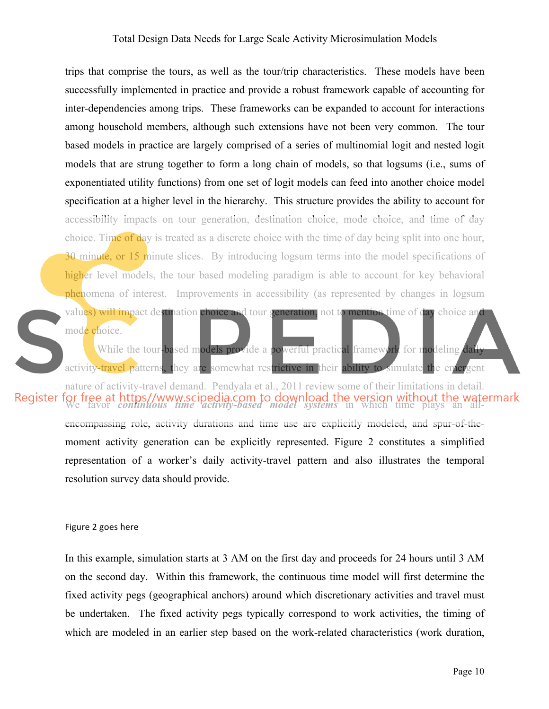trips that comprise the tours, as well as the tour/trip characteristics. These models have been successfully implemented in practice and provide a robust framework capable of accounting for inter-dependencies among trips. These frameworks can be expanded to account for interactions among household members, although such extensions have not been very common. The tour based models in practice are largely comprised of a series of multinomial logit and nested logit models that are strung together to form a long chain of models, so that logsums (i.e., sums of exponentiated utility functions) from one set of logit models can feed into another choice model specification at a higher level in the hierarchy. This structure provides the ability to account for accessibility impacts on tour generation, destination choice, mode choice, and time of day choice. Time of day is treated as a discrete choice with the time of day being split into one hour, 30 minute, or 15 minute slices. By introducing logsum terms into the model specifications of higher level models, the tour based modeling paradigm is able to account for key behavioral phenomena of interest. Improvements in accessibility (as represented by changes in logsum values) will impact destination choice and tour generation, not to mention time of day choice and mode choice.

While the tour-based models provide a powerful practical framework for modeling daily activity-travel patterns, they are somewhat restrictive in their ability to simulate the emergent

nature of activity-travel demand. Pendyala et al., 2011 review some of their limitations in detail. Register for free at https//www.scipedia.com to download the version without the watermark<br>We favor *continuous time activity-based model systems* in which time plays an allencompassing role, activity durations and time use are explicitly modeled, and spur-of-themoment activity generation can be explicitly represented. Figure 2 constitutes a simplified representation of a worker's daily activity-travel pattern and also illustrates the temporal resolution survey data should provide.

#### Figure 2 goes here

In this example, simulation starts at 3 AM on the first day and proceeds for 24 hours until 3 AM on the second day. Within this framework, the continuous time model will first determine the fixed activity pegs (geographical anchors) around which discretionary activities and travel must be undertaken. The fixed activity pegs typically correspond to work activities, the timing of which are modeled in an earlier step based on the work-related characteristics (work duration,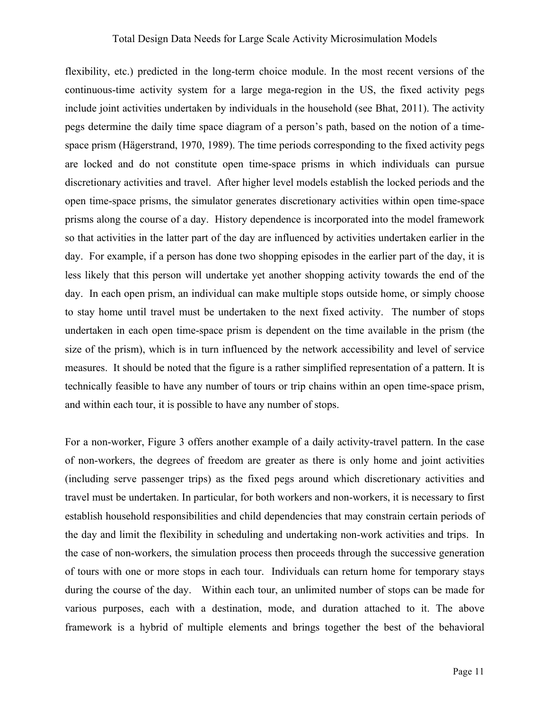flexibility, etc.) predicted in the long-term choice module. In the most recent versions of the continuous-time activity system for a large mega-region in the US, the fixed activity pegs include joint activities undertaken by individuals in the household (see Bhat, 2011). The activity pegs determine the daily time space diagram of a person's path, based on the notion of a timespace prism (Hägerstrand, 1970, 1989). The time periods corresponding to the fixed activity pegs are locked and do not constitute open time-space prisms in which individuals can pursue discretionary activities and travel. After higher level models establish the locked periods and the open time-space prisms, the simulator generates discretionary activities within open time-space prisms along the course of a day. History dependence is incorporated into the model framework so that activities in the latter part of the day are influenced by activities undertaken earlier in the day. For example, if a person has done two shopping episodes in the earlier part of the day, it is less likely that this person will undertake yet another shopping activity towards the end of the day. In each open prism, an individual can make multiple stops outside home, or simply choose to stay home until travel must be undertaken to the next fixed activity. The number of stops undertaken in each open time-space prism is dependent on the time available in the prism (the size of the prism), which is in turn influenced by the network accessibility and level of service measures. It should be noted that the figure is a rather simplified representation of a pattern. It is technically feasible to have any number of tours or trip chains within an open time-space prism, and within each tour, it is possible to have any number of stops.

For a non-worker, Figure 3 offers another example of a daily activity-travel pattern. In the case of non-workers, the degrees of freedom are greater as there is only home and joint activities (including serve passenger trips) as the fixed pegs around which discretionary activities and travel must be undertaken. In particular, for both workers and non-workers, it is necessary to first establish household responsibilities and child dependencies that may constrain certain periods of the day and limit the flexibility in scheduling and undertaking non-work activities and trips. In the case of non-workers, the simulation process then proceeds through the successive generation of tours with one or more stops in each tour. Individuals can return home for temporary stays during the course of the day. Within each tour, an unlimited number of stops can be made for various purposes, each with a destination, mode, and duration attached to it. The above framework is a hybrid of multiple elements and brings together the best of the behavioral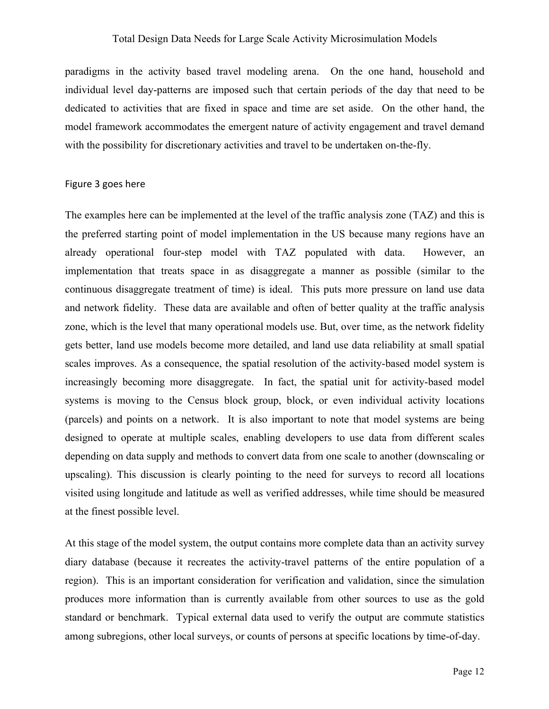paradigms in the activity based travel modeling arena. On the one hand, household and individual level day-patterns are imposed such that certain periods of the day that need to be dedicated to activities that are fixed in space and time are set aside. On the other hand, the model framework accommodates the emergent nature of activity engagement and travel demand with the possibility for discretionary activities and travel to be undertaken on-the-fly.

### Figure 3 goes here

The examples here can be implemented at the level of the traffic analysis zone (TAZ) and this is the preferred starting point of model implementation in the US because many regions have an already operational four-step model with TAZ populated with data. However, an implementation that treats space in as disaggregate a manner as possible (similar to the continuous disaggregate treatment of time) is ideal. This puts more pressure on land use data and network fidelity. These data are available and often of better quality at the traffic analysis zone, which is the level that many operational models use. But, over time, as the network fidelity gets better, land use models become more detailed, and land use data reliability at small spatial scales improves. As a consequence, the spatial resolution of the activity-based model system is increasingly becoming more disaggregate. In fact, the spatial unit for activity-based model systems is moving to the Census block group, block, or even individual activity locations (parcels) and points on a network. It is also important to note that model systems are being designed to operate at multiple scales, enabling developers to use data from different scales depending on data supply and methods to convert data from one scale to another (downscaling or upscaling). This discussion is clearly pointing to the need for surveys to record all locations visited using longitude and latitude as well as verified addresses, while time should be measured at the finest possible level.

At this stage of the model system, the output contains more complete data than an activity survey diary database (because it recreates the activity-travel patterns of the entire population of a region). This is an important consideration for verification and validation, since the simulation produces more information than is currently available from other sources to use as the gold standard or benchmark. Typical external data used to verify the output are commute statistics among subregions, other local surveys, or counts of persons at specific locations by time-of-day.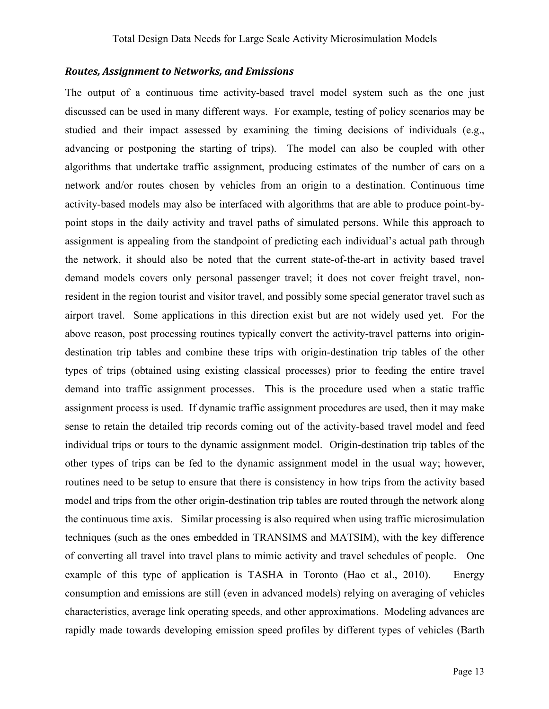### Routes, Assignment to Networks, and Emissions

The output of a continuous time activity-based travel model system such as the one just discussed can be used in many different ways. For example, testing of policy scenarios may be studied and their impact assessed by examining the timing decisions of individuals (e.g., advancing or postponing the starting of trips). The model can also be coupled with other algorithms that undertake traffic assignment, producing estimates of the number of cars on a network and/or routes chosen by vehicles from an origin to a destination. Continuous time activity-based models may also be interfaced with algorithms that are able to produce point-bypoint stops in the daily activity and travel paths of simulated persons. While this approach to assignment is appealing from the standpoint of predicting each individual's actual path through the network, it should also be noted that the current state-of-the-art in activity based travel demand models covers only personal passenger travel; it does not cover freight travel, nonresident in the region tourist and visitor travel, and possibly some special generator travel such as airport travel. Some applications in this direction exist but are not widely used yet. For the above reason, post processing routines typically convert the activity-travel patterns into origindestination trip tables and combine these trips with origin-destination trip tables of the other types of trips (obtained using existing classical processes) prior to feeding the entire travel demand into traffic assignment processes. This is the procedure used when a static traffic assignment process is used. If dynamic traffic assignment procedures are used, then it may make sense to retain the detailed trip records coming out of the activity-based travel model and feed individual trips or tours to the dynamic assignment model. Origin-destination trip tables of the other types of trips can be fed to the dynamic assignment model in the usual way; however, routines need to be setup to ensure that there is consistency in how trips from the activity based model and trips from the other origin-destination trip tables are routed through the network along the continuous time axis. Similar processing is also required when using traffic microsimulation techniques (such as the ones embedded in TRANSIMS and MATSIM), with the key difference of converting all travel into travel plans to mimic activity and travel schedules of people. One example of this type of application is TASHA in Toronto (Hao et al., 2010). Energy consumption and emissions are still (even in advanced models) relying on averaging of vehicles characteristics, average link operating speeds, and other approximations. Modeling advances are rapidly made towards developing emission speed profiles by different types of vehicles (Barth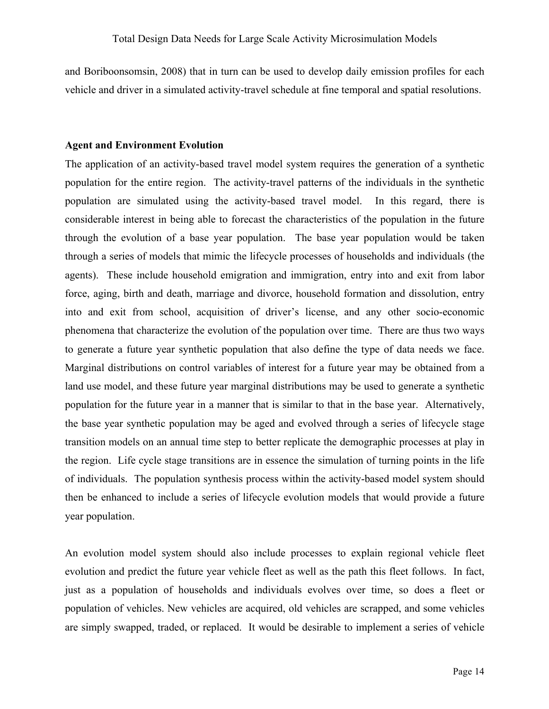and Boriboonsomsin, 2008) that in turn can be used to develop daily emission profiles for each vehicle and driver in a simulated activity-travel schedule at fine temporal and spatial resolutions.

# **Agent and Environment Evolution**

The application of an activity-based travel model system requires the generation of a synthetic population for the entire region. The activity-travel patterns of the individuals in the synthetic population are simulated using the activity-based travel model. In this regard, there is considerable interest in being able to forecast the characteristics of the population in the future through the evolution of a base year population. The base year population would be taken through a series of models that mimic the lifecycle processes of households and individuals (the agents). These include household emigration and immigration, entry into and exit from labor force, aging, birth and death, marriage and divorce, household formation and dissolution, entry into and exit from school, acquisition of driver's license, and any other socio-economic phenomena that characterize the evolution of the population over time. There are thus two ways to generate a future year synthetic population that also define the type of data needs we face. Marginal distributions on control variables of interest for a future year may be obtained from a land use model, and these future year marginal distributions may be used to generate a synthetic population for the future year in a manner that is similar to that in the base year. Alternatively, the base year synthetic population may be aged and evolved through a series of lifecycle stage transition models on an annual time step to better replicate the demographic processes at play in the region. Life cycle stage transitions are in essence the simulation of turning points in the life of individuals. The population synthesis process within the activity-based model system should then be enhanced to include a series of lifecycle evolution models that would provide a future year population.

An evolution model system should also include processes to explain regional vehicle fleet evolution and predict the future year vehicle fleet as well as the path this fleet follows. In fact, just as a population of households and individuals evolves over time, so does a fleet or population of vehicles. New vehicles are acquired, old vehicles are scrapped, and some vehicles are simply swapped, traded, or replaced. It would be desirable to implement a series of vehicle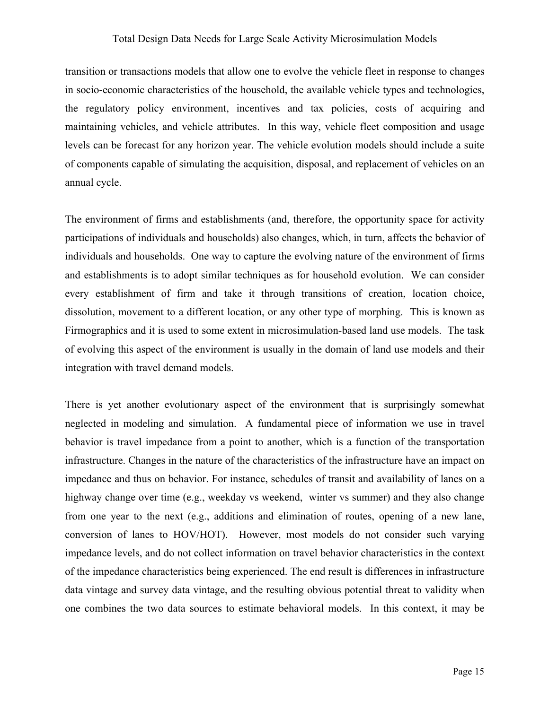transition or transactions models that allow one to evolve the vehicle fleet in response to changes in socio-economic characteristics of the household, the available vehicle types and technologies, the regulatory policy environment, incentives and tax policies, costs of acquiring and maintaining vehicles, and vehicle attributes. In this way, vehicle fleet composition and usage levels can be forecast for any horizon year. The vehicle evolution models should include a suite of components capable of simulating the acquisition, disposal, and replacement of vehicles on an annual cycle.

The environment of firms and establishments (and, therefore, the opportunity space for activity participations of individuals and households) also changes, which, in turn, affects the behavior of individuals and households. One way to capture the evolving nature of the environment of firms and establishments is to adopt similar techniques as for household evolution. We can consider every establishment of firm and take it through transitions of creation, location choice, dissolution, movement to a different location, or any other type of morphing. This is known as Firmographics and it is used to some extent in microsimulation-based land use models. The task of evolving this aspect of the environment is usually in the domain of land use models and their integration with travel demand models.

There is yet another evolutionary aspect of the environment that is surprisingly somewhat neglected in modeling and simulation. A fundamental piece of information we use in travel behavior is travel impedance from a point to another, which is a function of the transportation infrastructure. Changes in the nature of the characteristics of the infrastructure have an impact on impedance and thus on behavior. For instance, schedules of transit and availability of lanes on a highway change over time (e.g., weekday vs weekend, winter vs summer) and they also change from one year to the next (e.g., additions and elimination of routes, opening of a new lane, conversion of lanes to HOV/HOT). However, most models do not consider such varying impedance levels, and do not collect information on travel behavior characteristics in the context of the impedance characteristics being experienced. The end result is differences in infrastructure data vintage and survey data vintage, and the resulting obvious potential threat to validity when one combines the two data sources to estimate behavioral models. In this context, it may be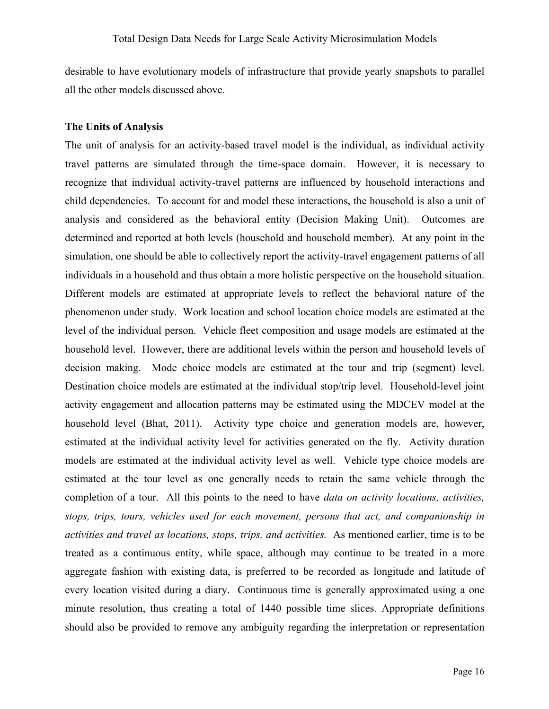desirable to have evolutionary models of infrastructure that provide yearly snapshots to parallel all the other models discussed above.

# **The Units of Analysis**

The unit of analysis for an activity-based travel model is the individual, as individual activity travel patterns are simulated through the time-space domain. However, it is necessary to recognize that individual activity-travel patterns are influenced by household interactions and child dependencies. To account for and model these interactions, the household is also a unit of analysis and considered as the behavioral entity (Decision Making Unit). Outcomes are determined and reported at both levels (household and household member). At any point in the simulation, one should be able to collectively report the activity-travel engagement patterns of all individuals in a household and thus obtain a more holistic perspective on the household situation. Different models are estimated at appropriate levels to reflect the behavioral nature of the phenomenon under study. Work location and school location choice models are estimated at the level of the individual person. Vehicle fleet composition and usage models are estimated at the household level. However, there are additional levels within the person and household levels of decision making. Mode choice models are estimated at the tour and trip (segment) level. Destination choice models are estimated at the individual stop/trip level. Household-level joint activity engagement and allocation patterns may be estimated using the MDCEV model at the household level (Bhat, 2011). Activity type choice and generation models are, however, estimated at the individual activity level for activities generated on the fly. Activity duration models are estimated at the individual activity level as well. Vehicle type choice models are estimated at the tour level as one generally needs to retain the same vehicle through the completion of a tour. All this points to the need to have *data on activity locations, activities, stops, trips, tours, vehicles used for each movement, persons that act, and companionship in activities and travel as locations, stops, trips, and activities.* As mentioned earlier, time is to be treated as a continuous entity, while space, although may continue to be treated in a more aggregate fashion with existing data, is preferred to be recorded as longitude and latitude of every location visited during a diary. Continuous time is generally approximated using a one minute resolution, thus creating a total of 1440 possible time slices. Appropriate definitions should also be provided to remove any ambiguity regarding the interpretation or representation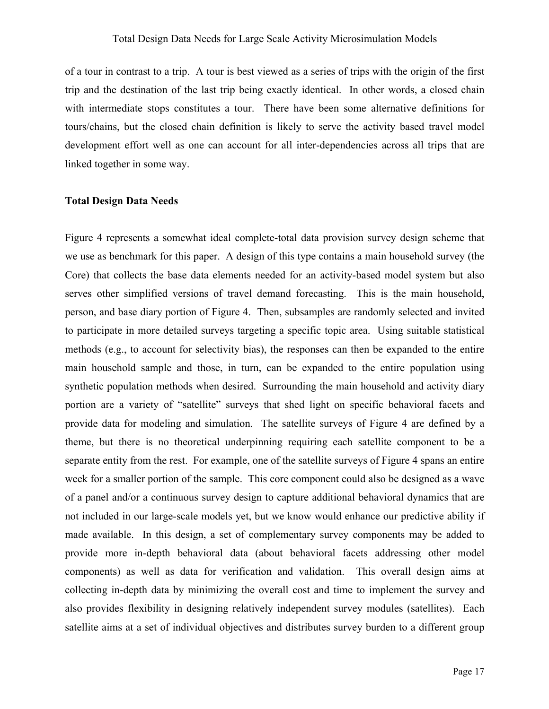of a tour in contrast to a trip. A tour is best viewed as a series of trips with the origin of the first trip and the destination of the last trip being exactly identical. In other words, a closed chain with intermediate stops constitutes a tour. There have been some alternative definitions for tours/chains, but the closed chain definition is likely to serve the activity based travel model development effort well as one can account for all inter-dependencies across all trips that are linked together in some way.

### **Total Design Data Needs**

Figure 4 represents a somewhat ideal complete-total data provision survey design scheme that we use as benchmark for this paper. A design of this type contains a main household survey (the Core) that collects the base data elements needed for an activity-based model system but also serves other simplified versions of travel demand forecasting. This is the main household, person, and base diary portion of Figure 4. Then, subsamples are randomly selected and invited to participate in more detailed surveys targeting a specific topic area. Using suitable statistical methods (e.g., to account for selectivity bias), the responses can then be expanded to the entire main household sample and those, in turn, can be expanded to the entire population using synthetic population methods when desired. Surrounding the main household and activity diary portion are a variety of "satellite" surveys that shed light on specific behavioral facets and provide data for modeling and simulation. The satellite surveys of Figure 4 are defined by a theme, but there is no theoretical underpinning requiring each satellite component to be a separate entity from the rest. For example, one of the satellite surveys of Figure 4 spans an entire week for a smaller portion of the sample. This core component could also be designed as a wave of a panel and/or a continuous survey design to capture additional behavioral dynamics that are not included in our large-scale models yet, but we know would enhance our predictive ability if made available. In this design, a set of complementary survey components may be added to provide more in-depth behavioral data (about behavioral facets addressing other model components) as well as data for verification and validation. This overall design aims at collecting in-depth data by minimizing the overall cost and time to implement the survey and also provides flexibility in designing relatively independent survey modules (satellites). Each satellite aims at a set of individual objectives and distributes survey burden to a different group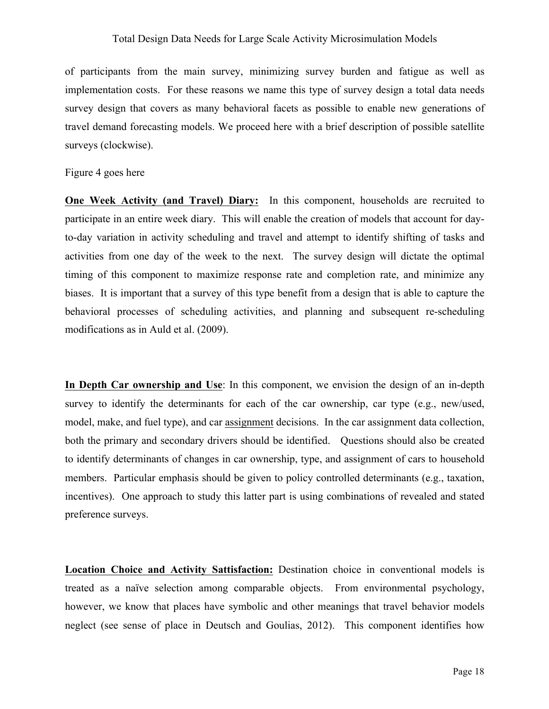of participants from the main survey, minimizing survey burden and fatigue as well as implementation costs. For these reasons we name this type of survey design a total data needs survey design that covers as many behavioral facets as possible to enable new generations of travel demand forecasting models. We proceed here with a brief description of possible satellite surveys (clockwise).

Figure 4 goes here

**One Week Activity (and Travel) Diary:** In this component, households are recruited to participate in an entire week diary. This will enable the creation of models that account for dayto-day variation in activity scheduling and travel and attempt to identify shifting of tasks and activities from one day of the week to the next. The survey design will dictate the optimal timing of this component to maximize response rate and completion rate, and minimize any biases. It is important that a survey of this type benefit from a design that is able to capture the behavioral processes of scheduling activities, and planning and subsequent re-scheduling modifications as in Auld et al. (2009).

**In Depth Car ownership and Use**: In this component, we envision the design of an in-depth survey to identify the determinants for each of the car ownership, car type (e.g., new/used, model, make, and fuel type), and car assignment decisions. In the car assignment data collection, both the primary and secondary drivers should be identified. Questions should also be created to identify determinants of changes in car ownership, type, and assignment of cars to household members. Particular emphasis should be given to policy controlled determinants (e.g., taxation, incentives). One approach to study this latter part is using combinations of revealed and stated preference surveys.

**Location Choice and Activity Sattisfaction:** Destination choice in conventional models is treated as a naïve selection among comparable objects. From environmental psychology, however, we know that places have symbolic and other meanings that travel behavior models neglect (see sense of place in Deutsch and Goulias, 2012). This component identifies how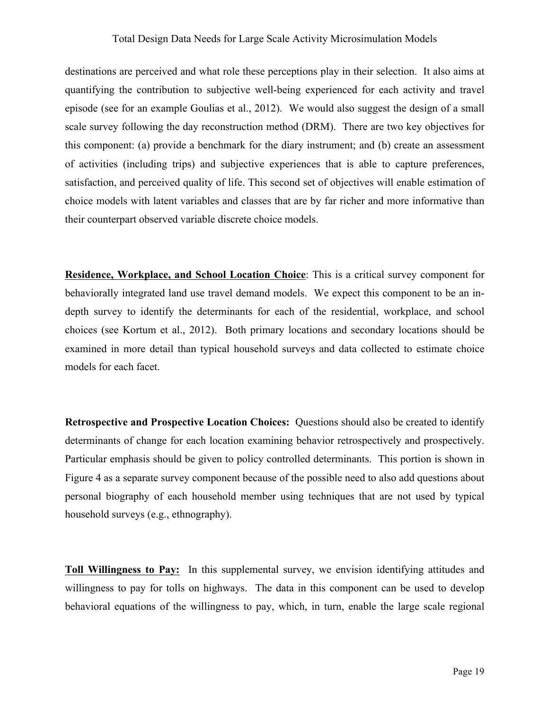destinations are perceived and what role these perceptions play in their selection. It also aims at quantifying the contribution to subjective well-being experienced for each activity and travel episode (see for an example Goulias et al., 2012). We would also suggest the design of a small scale survey following the day reconstruction method (DRM). There are two key objectives for this component: (a) provide a benchmark for the diary instrument; and (b) create an assessment of activities (including trips) and subjective experiences that is able to capture preferences, satisfaction, and perceived quality of life. This second set of objectives will enable estimation of choice models with latent variables and classes that are by far richer and more informative than their counterpart observed variable discrete choice models.

**Residence, Workplace, and School Location Choice**: This is a critical survey component for behaviorally integrated land use travel demand models. We expect this component to be an indepth survey to identify the determinants for each of the residential, workplace, and school choices (see Kortum et al., 2012). Both primary locations and secondary locations should be examined in more detail than typical household surveys and data collected to estimate choice models for each facet.

**Retrospective and Prospective Location Choices:** Questions should also be created to identify determinants of change for each location examining behavior retrospectively and prospectively. Particular emphasis should be given to policy controlled determinants. This portion is shown in Figure 4 as a separate survey component because of the possible need to also add questions about personal biography of each household member using techniques that are not used by typical household surveys (e.g., ethnography).

**Toll Willingness to Pay:** In this supplemental survey, we envision identifying attitudes and willingness to pay for tolls on highways. The data in this component can be used to develop behavioral equations of the willingness to pay, which, in turn, enable the large scale regional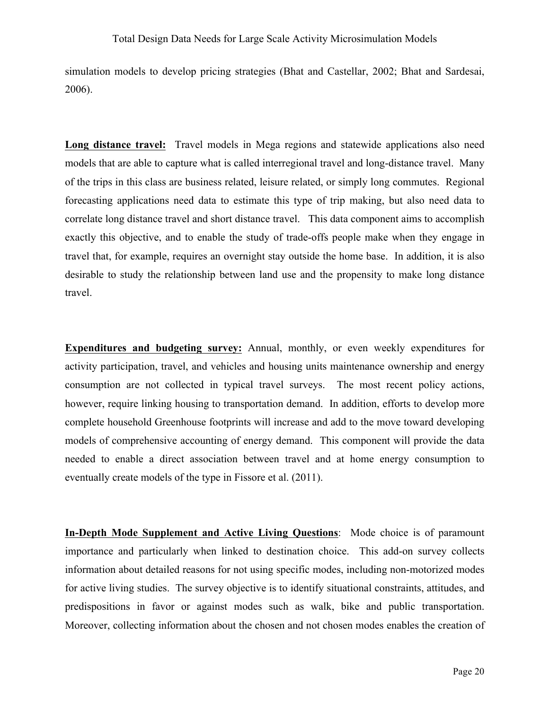simulation models to develop pricing strategies (Bhat and Castellar, 2002; Bhat and Sardesai, 2006).

Long distance travel: Travel models in Mega regions and statewide applications also need models that are able to capture what is called interregional travel and long-distance travel. Many of the trips in this class are business related, leisure related, or simply long commutes. Regional forecasting applications need data to estimate this type of trip making, but also need data to correlate long distance travel and short distance travel. This data component aims to accomplish exactly this objective, and to enable the study of trade-offs people make when they engage in travel that, for example, requires an overnight stay outside the home base. In addition, it is also desirable to study the relationship between land use and the propensity to make long distance travel.

**Expenditures and budgeting survey:** Annual, monthly, or even weekly expenditures for activity participation, travel, and vehicles and housing units maintenance ownership and energy consumption are not collected in typical travel surveys. The most recent policy actions, however, require linking housing to transportation demand. In addition, efforts to develop more complete household Greenhouse footprints will increase and add to the move toward developing models of comprehensive accounting of energy demand. This component will provide the data needed to enable a direct association between travel and at home energy consumption to eventually create models of the type in Fissore et al. (2011).

**In-Depth Mode Supplement and Active Living Questions**: Mode choice is of paramount importance and particularly when linked to destination choice. This add-on survey collects information about detailed reasons for not using specific modes, including non-motorized modes for active living studies. The survey objective is to identify situational constraints, attitudes, and predispositions in favor or against modes such as walk, bike and public transportation. Moreover, collecting information about the chosen and not chosen modes enables the creation of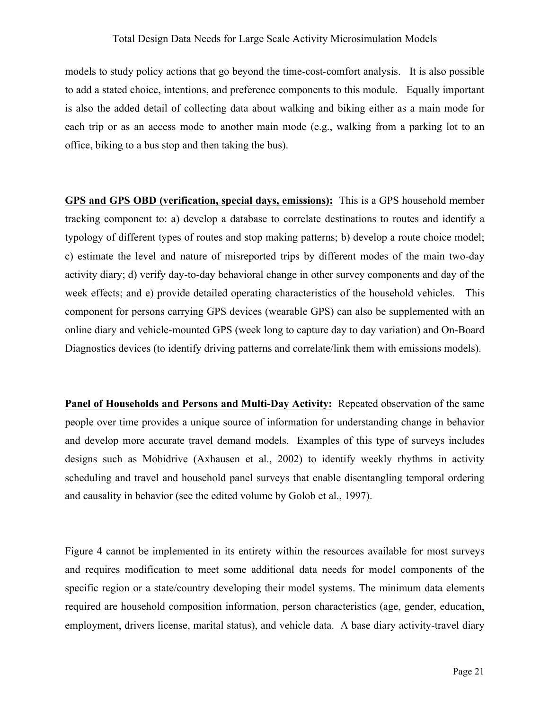models to study policy actions that go beyond the time-cost-comfort analysis. It is also possible to add a stated choice, intentions, and preference components to this module. Equally important is also the added detail of collecting data about walking and biking either as a main mode for each trip or as an access mode to another main mode (e.g., walking from a parking lot to an office, biking to a bus stop and then taking the bus).

**GPS and GPS OBD (verification, special days, emissions):** This is a GPS household member tracking component to: a) develop a database to correlate destinations to routes and identify a typology of different types of routes and stop making patterns; b) develop a route choice model; c) estimate the level and nature of misreported trips by different modes of the main two-day activity diary; d) verify day-to-day behavioral change in other survey components and day of the week effects; and e) provide detailed operating characteristics of the household vehicles. This component for persons carrying GPS devices (wearable GPS) can also be supplemented with an online diary and vehicle-mounted GPS (week long to capture day to day variation) and On-Board Diagnostics devices (to identify driving patterns and correlate/link them with emissions models).

**Panel of Households and Persons and Multi-Day Activity:** Repeated observation of the same people over time provides a unique source of information for understanding change in behavior and develop more accurate travel demand models. Examples of this type of surveys includes designs such as Mobidrive (Axhausen et al., 2002) to identify weekly rhythms in activity scheduling and travel and household panel surveys that enable disentangling temporal ordering and causality in behavior (see the edited volume by Golob et al., 1997).

Figure 4 cannot be implemented in its entirety within the resources available for most surveys and requires modification to meet some additional data needs for model components of the specific region or a state/country developing their model systems. The minimum data elements required are household composition information, person characteristics (age, gender, education, employment, drivers license, marital status), and vehicle data. A base diary activity-travel diary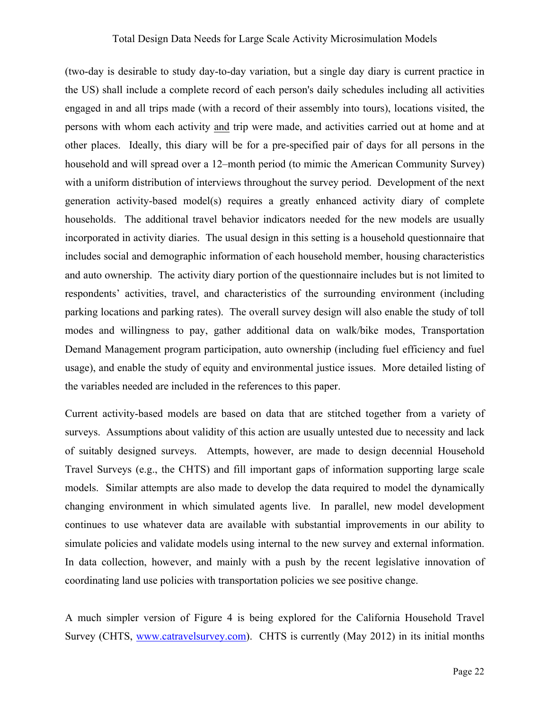(two-day is desirable to study day-to-day variation, but a single day diary is current practice in the US) shall include a complete record of each person's daily schedules including all activities engaged in and all trips made (with a record of their assembly into tours), locations visited, the persons with whom each activity and trip were made, and activities carried out at home and at other places. Ideally, this diary will be for a pre-specified pair of days for all persons in the household and will spread over a 12–month period (to mimic the American Community Survey) with a uniform distribution of interviews throughout the survey period. Development of the next generation activity-based model(s) requires a greatly enhanced activity diary of complete households. The additional travel behavior indicators needed for the new models are usually incorporated in activity diaries. The usual design in this setting is a household questionnaire that includes social and demographic information of each household member, housing characteristics and auto ownership. The activity diary portion of the questionnaire includes but is not limited to respondents' activities, travel, and characteristics of the surrounding environment (including parking locations and parking rates). The overall survey design will also enable the study of toll modes and willingness to pay, gather additional data on walk/bike modes, Transportation Demand Management program participation, auto ownership (including fuel efficiency and fuel usage), and enable the study of equity and environmental justice issues. More detailed listing of the variables needed are included in the references to this paper.

Current activity-based models are based on data that are stitched together from a variety of surveys. Assumptions about validity of this action are usually untested due to necessity and lack of suitably designed surveys. Attempts, however, are made to design decennial Household Travel Surveys (e.g., the CHTS) and fill important gaps of information supporting large scale models. Similar attempts are also made to develop the data required to model the dynamically changing environment in which simulated agents live. In parallel, new model development continues to use whatever data are available with substantial improvements in our ability to simulate policies and validate models using internal to the new survey and external information. In data collection, however, and mainly with a push by the recent legislative innovation of coordinating land use policies with transportation policies we see positive change.

A much simpler version of Figure 4 is being explored for the California Household Travel Survey (CHTS, www.catravelsurvey.com). CHTS is currently (May 2012) in its initial months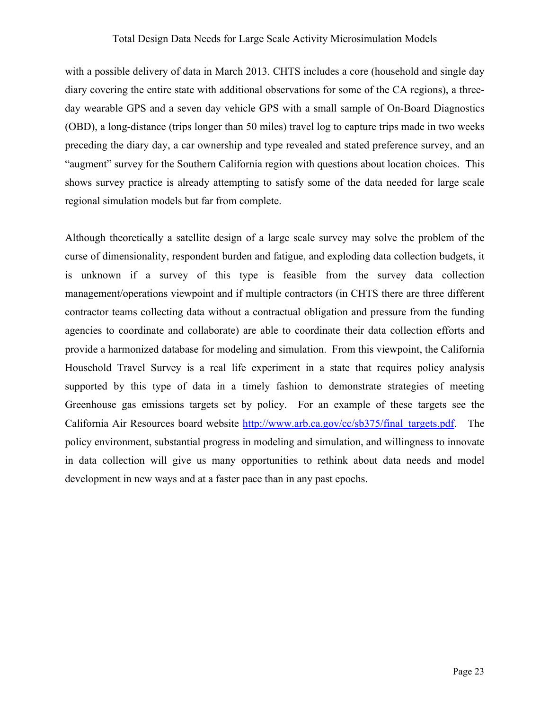with a possible delivery of data in March 2013. CHTS includes a core (household and single day diary covering the entire state with additional observations for some of the CA regions), a threeday wearable GPS and a seven day vehicle GPS with a small sample of On-Board Diagnostics (OBD), a long-distance (trips longer than 50 miles) travel log to capture trips made in two weeks preceding the diary day, a car ownership and type revealed and stated preference survey, and an "augment" survey for the Southern California region with questions about location choices. This shows survey practice is already attempting to satisfy some of the data needed for large scale regional simulation models but far from complete.

Although theoretically a satellite design of a large scale survey may solve the problem of the curse of dimensionality, respondent burden and fatigue, and exploding data collection budgets, it is unknown if a survey of this type is feasible from the survey data collection management/operations viewpoint and if multiple contractors (in CHTS there are three different contractor teams collecting data without a contractual obligation and pressure from the funding agencies to coordinate and collaborate) are able to coordinate their data collection efforts and provide a harmonized database for modeling and simulation. From this viewpoint, the California Household Travel Survey is a real life experiment in a state that requires policy analysis supported by this type of data in a timely fashion to demonstrate strategies of meeting Greenhouse gas emissions targets set by policy. For an example of these targets see the California Air Resources board website http://www.arb.ca.gov/cc/sb375/final\_targets.pdf. The policy environment, substantial progress in modeling and simulation, and willingness to innovate in data collection will give us many opportunities to rethink about data needs and model development in new ways and at a faster pace than in any past epochs.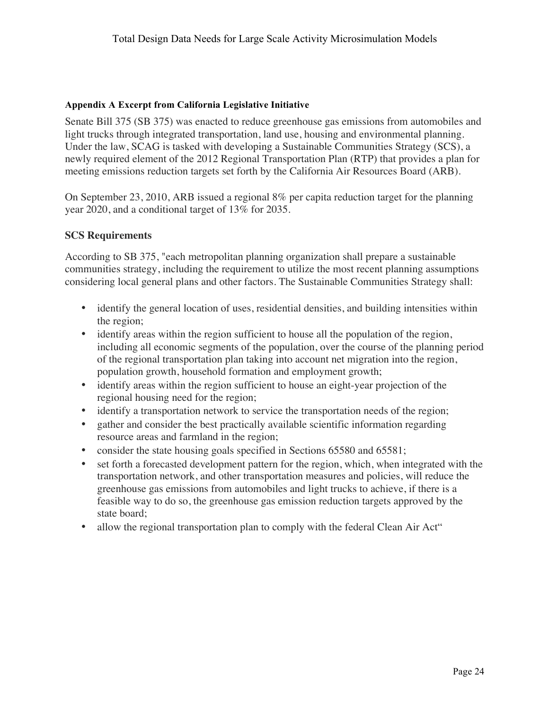# **Appendix A Excerpt from California Legislative Initiative**

Senate Bill 375 (SB 375) was enacted to reduce greenhouse gas emissions from automobiles and light trucks through integrated transportation, land use, housing and environmental planning. Under the law, SCAG is tasked with developing a Sustainable Communities Strategy (SCS), a newly required element of the 2012 Regional Transportation Plan (RTP) that provides a plan for meeting emissions reduction targets set forth by the California Air Resources Board (ARB).

On September 23, 2010, ARB issued a regional 8% per capita reduction target for the planning year 2020, and a conditional target of 13% for 2035.

# **SCS Requirements**

According to SB 375, "each metropolitan planning organization shall prepare a sustainable communities strategy, including the requirement to utilize the most recent planning assumptions considering local general plans and other factors. The Sustainable Communities Strategy shall:

- identify the general location of uses, residential densities, and building intensities within the region;
- identify areas within the region sufficient to house all the population of the region, including all economic segments of the population, over the course of the planning period of the regional transportation plan taking into account net migration into the region, population growth, household formation and employment growth;
- identify areas within the region sufficient to house an eight-year projection of the regional housing need for the region;
- identify a transportation network to service the transportation needs of the region;
- gather and consider the best practically available scientific information regarding resource areas and farmland in the region;
- consider the state housing goals specified in Sections 65580 and 65581;
- set forth a forecasted development pattern for the region, which, when integrated with the transportation network, and other transportation measures and policies, will reduce the greenhouse gas emissions from automobiles and light trucks to achieve, if there is a feasible way to do so, the greenhouse gas emission reduction targets approved by the state board;
- allow the regional transportation plan to comply with the federal Clean Air Act"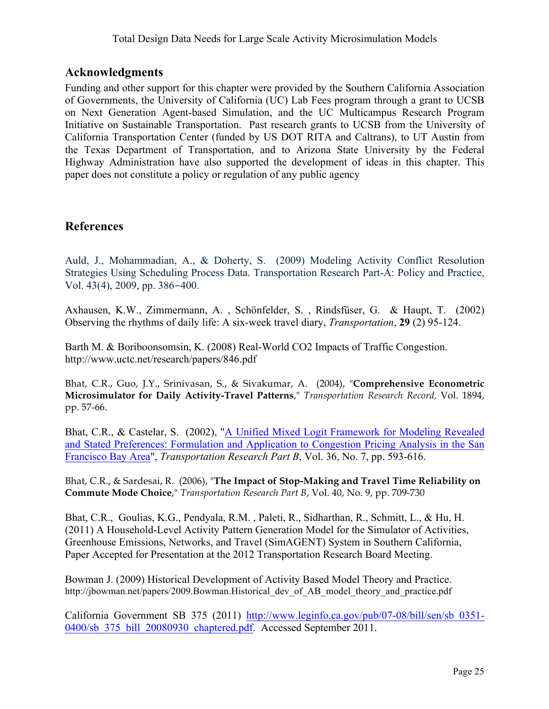# **Acknowledgments**

Funding and other support for this chapter were provided by the Southern California Association of Governments, the University of California (UC) Lab Fees program through a grant to UCSB on Next Generation Agent-based Simulation, and the UC Multicampus Research Program Initiative on Sustainable Transportation. Past research grants to UCSB from the University of California Transportation Center (funded by US DOT RITA and Caltrans), to UT Austin from the Texas Department of Transportation, and to Arizona State University by the Federal Highway Administration have also supported the development of ideas in this chapter. This paper does not constitute a policy or regulation of any public agency

# **References**

Auld, J., Mohammadian, A., & Doherty, S. (2009) Modeling Activity Conflict Resolution Strategies Using Scheduling Process Data. Transportation Research Part-A: Policy and Practice, Vol. 43(4), 2009, pp. 386-400.

Axhausen, K.W., Zimmermann, A. , Schönfelder, S. , Rindsfüser, G. & Haupt, T. (2002) Observing the rhythms of daily life: A six-week travel diary, *Transportation*, **29** (2) 95-124.

Barth M. & Boriboonsomsin, K. (2008) Real-World CO2 Impacts of Traffic Congestion. http://www.uctc.net/research/papers/846.pdf

Bhat, C.R., Guo, J.Y., Srinivasan, S., & Sivakumar, A. (2004), "**Comprehensive Econometric Microsimulator for Daily Activity-Travel Patterns**," *Transportation Research Record,* Vol. 1894, pp. 57-66.

Bhat, C.R., & Castelar, S. (2002), "A Unified Mixed Logit Framework for Modeling Revealed and Stated Preferences: Formulation and Application to Congestion Pricing Analysis in the San Francisco Bay Area", *Transportation Research Part B*, Vol. 36, No. 7, pp. 593-616.

Bhat, C.R., & Sardesai, R. (2006), "**The Impact of Stop-Making and Travel Time Reliability on Commute Mode Choice**," *Transportation Research Part B*, Vol. 40, No. 9, pp. 709-730

Bhat, C.R., Goulias, K.G., Pendyala, R.M. , Paleti, R., Sidharthan, R., Schmitt, L., & Hu, H. (2011) A Household-Level Activity Pattern Generation Model for the Simulator of Activities, Greenhouse Emissions, Networks, and Travel (SimAGENT) System in Southern California, Paper Accepted for Presentation at the 2012 Transportation Research Board Meeting.

Bowman J. (2009) Historical Development of Activity Based Model Theory and Practice. http://jbowman.net/papers/2009.Bowman.Historical dev of AB model theory and practice.pdf

California Government SB 375 (2011) http://www.leginfo.ca.gov/pub/07-08/bill/sen/sb\_0351- 0400/sb 375\_bill\_20080930\_chaptered.pdf. Accessed September 2011.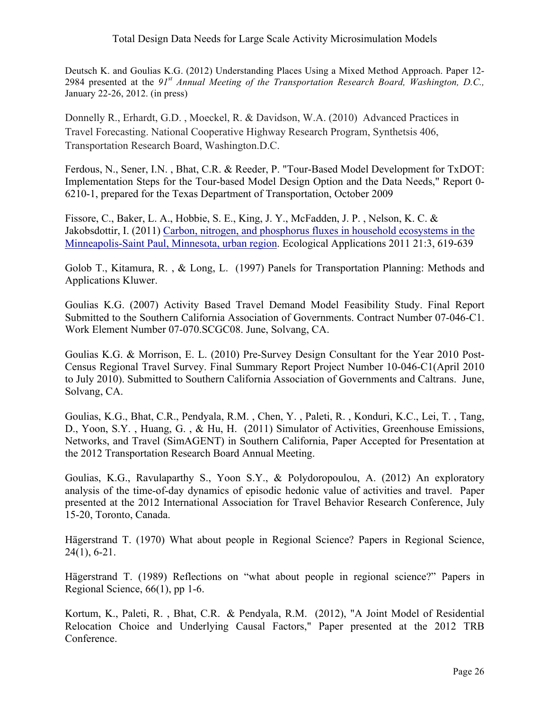Deutsch K. and Goulias K.G. (2012) Understanding Places Using a Mixed Method Approach. Paper 12- 2984 presented at the *91st Annual Meeting of the Transportation Research Board, Washington, D.C.,*  January 22-26, 2012. (in press)

Donnelly R., Erhardt, G.D. , Moeckel, R. & Davidson, W.A. (2010) Advanced Practices in Travel Forecasting. National Cooperative Highway Research Program, Synthetsis 406, Transportation Research Board, Washington.D.C.

Ferdous, N., Sener, I.N. , Bhat, C.R. & Reeder, P. "Tour-Based Model Development for TxDOT: Implementation Steps for the Tour-based Model Design Option and the Data Needs," Report 0- 6210-1, prepared for the Texas Department of Transportation, October 2009

Fissore, C., Baker, L. A., Hobbie, S. E., King, J. Y., McFadden, J. P. , Nelson, K. C. & Jakobsdottir, I. (2011) Carbon, nitrogen, and phosphorus fluxes in household ecosystems in the Minneapolis-Saint Paul, Minnesota, urban region. Ecological Applications 2011 21:3, 619-639

Golob T., Kitamura, R. , & Long, L. (1997) Panels for Transportation Planning: Methods and Applications Kluwer.

Goulias K.G. (2007) Activity Based Travel Demand Model Feasibility Study. Final Report Submitted to the Southern California Association of Governments. Contract Number 07-046-C1. Work Element Number 07-070.SCGC08. June, Solvang, CA.

Goulias K.G. & Morrison, E. L. (2010) Pre-Survey Design Consultant for the Year 2010 Post-Census Regional Travel Survey. Final Summary Report Project Number 10-046-C1(April 2010 to July 2010). Submitted to Southern California Association of Governments and Caltrans. June, Solvang, CA.

Goulias, K.G., Bhat, C.R., Pendyala, R.M. , Chen, Y. , Paleti, R. , Konduri, K.C., Lei, T. , Tang, D., Yoon, S.Y. , Huang, G. , & Hu, H. (2011) Simulator of Activities, Greenhouse Emissions, Networks, and Travel (SimAGENT) in Southern California, Paper Accepted for Presentation at the 2012 Transportation Research Board Annual Meeting.

Goulias, K.G., Ravulaparthy S., Yoon S.Y., & Polydoropoulou, A. (2012) An exploratory analysis of the time-of-day dynamics of episodic hedonic value of activities and travel. Paper presented at the 2012 International Association for Travel Behavior Research Conference, July 15-20, Toronto, Canada.

Hägerstrand T. (1970) What about people in Regional Science? Papers in Regional Science, 24(1), 6-21.

Hägerstrand T. (1989) Reflections on "what about people in regional science?" Papers in Regional Science, 66(1), pp 1-6.

Kortum, K., Paleti, R. , Bhat, C.R. & Pendyala, R.M. (2012), "A Joint Model of Residential Relocation Choice and Underlying Causal Factors," Paper presented at the 2012 TRB Conference.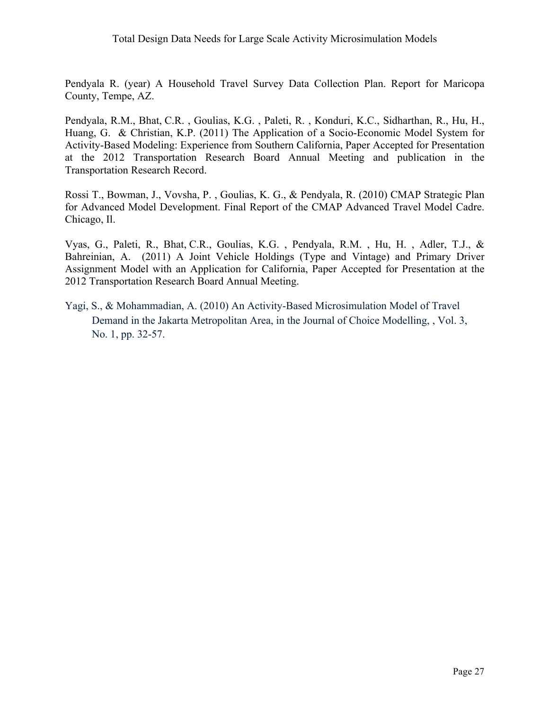Pendyala R. (year) A Household Travel Survey Data Collection Plan. Report for Maricopa County, Tempe, AZ.

Pendyala, R.M., Bhat, C.R. , Goulias, K.G. , Paleti, R. , Konduri, K.C., Sidharthan, R., Hu, H., Huang, G. & Christian, K.P. (2011) The Application of a Socio-Economic Model System for Activity-Based Modeling: Experience from Southern California, Paper Accepted for Presentation at the 2012 Transportation Research Board Annual Meeting and publication in the Transportation Research Record.

Rossi T., Bowman, J., Vovsha, P. , Goulias, K. G., & Pendyala, R. (2010) CMAP Strategic Plan for Advanced Model Development. Final Report of the CMAP Advanced Travel Model Cadre. Chicago, Il.

Vyas, G., Paleti, R., Bhat, C.R., Goulias, K.G. , Pendyala, R.M. , Hu, H. , Adler, T.J., & Bahreinian, A. (2011) A Joint Vehicle Holdings (Type and Vintage) and Primary Driver Assignment Model with an Application for California, Paper Accepted for Presentation at the 2012 Transportation Research Board Annual Meeting.

Yagi, S., & Mohammadian, A. (2010) An Activity-Based Microsimulation Model of Travel Demand in the Jakarta Metropolitan Area, in the Journal of Choice Modelling, , Vol. 3, No. 1, pp. 32-57.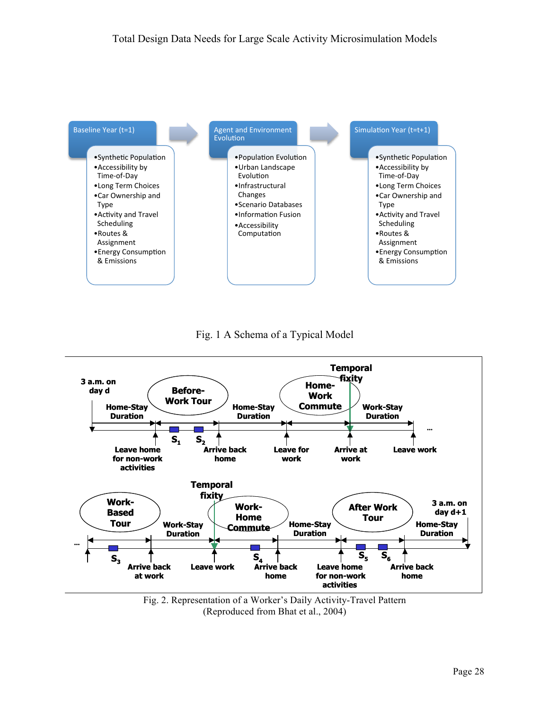

Fig. 1 A Schema of a Typical Model



Fig. 2. Representation of a Worker's Daily Activity-Travel Pattern (Reproduced from Bhat et al., 2004)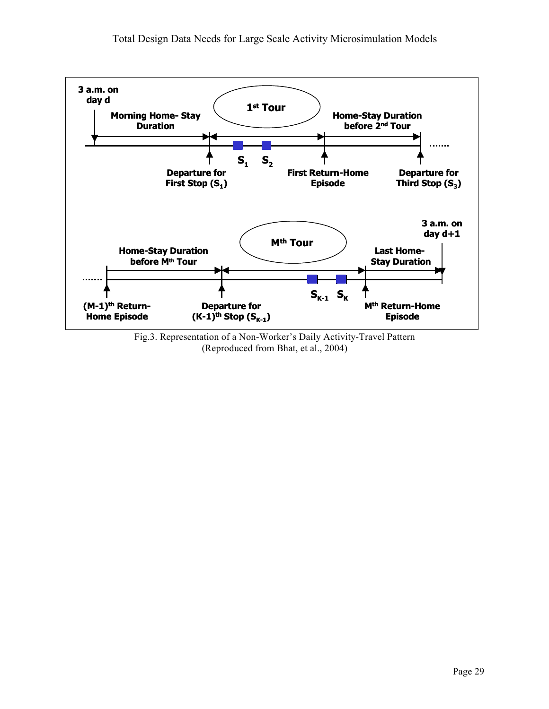

Fig.3. Representation of a Non-Worker's Daily Activity-Travel Pattern (Reproduced from Bhat, et al., 2004)